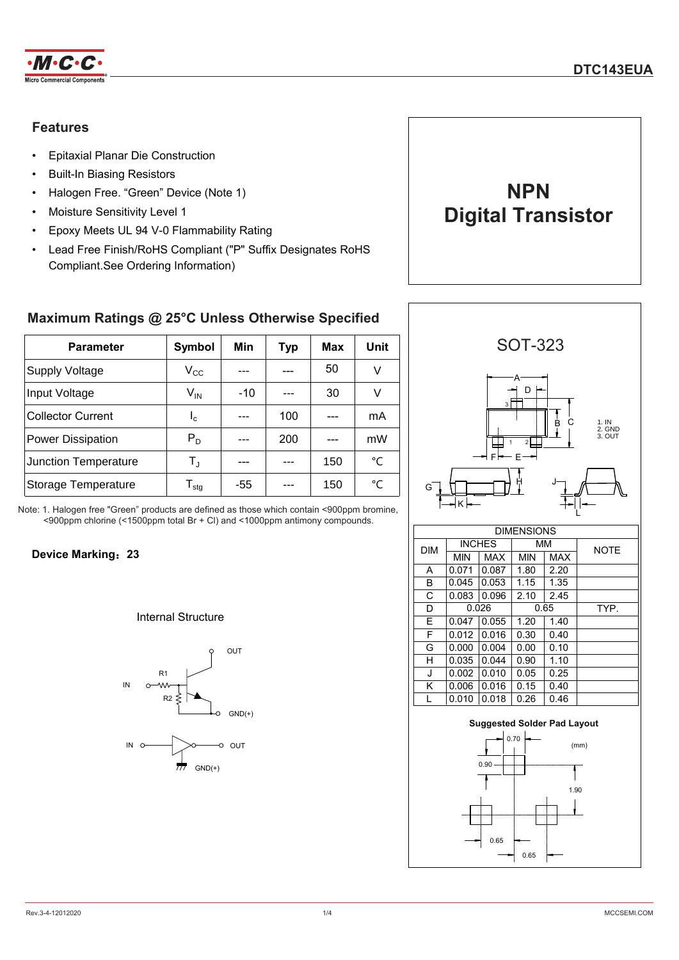

# **Features**

- Epitaxial Planar Die Construction
- Built-In Biasing Resistors
- Halogen Free. "Green" Device (Note 1)
- Moisture Sensitivity Level 1
- Epoxy Meets UL 94 V-0 Flammability Rating
- Lead Free Finish/RoHS Compliant ("P" Suffix Designates RoHS Compliant.See Ordering Information)



# **Maximum Ratings @ 25°C Unless Otherwise Specified**

| <b>Parameter</b>         | Symbol                       | Min   | <b>Typ</b> | <b>Max</b> | Unit        |
|--------------------------|------------------------------|-------|------------|------------|-------------|
| <b>Supply Voltage</b>    | $\rm V_{CC}$                 |       |            | 50         | V           |
| Input Voltage            | $\mathsf{V}_{\mathsf{IN}}$   | $-10$ |            | 30         | V           |
| <b>Collector Current</b> | $I_{c}$                      |       | 100        |            | mA          |
| <b>Power Dissipation</b> | $P_D$                        |       | 200        |            | mW          |
| Junction Temperature     | $T_{\rm J}$                  |       |            | 150        | $^{\circ}C$ |
| Storage Temperature      | ${\mathsf T}_{\textsf{stg}}$ | -55   |            | 150        | °C          |

Note: 1. Halogen free "Green" products are defined as those which contain <900ppm bromine, <900ppm chlorine (<1500ppm total Br + Cl) and <1000ppm antimony compounds.

## **Device Marking**:**23**

## Internal Structure



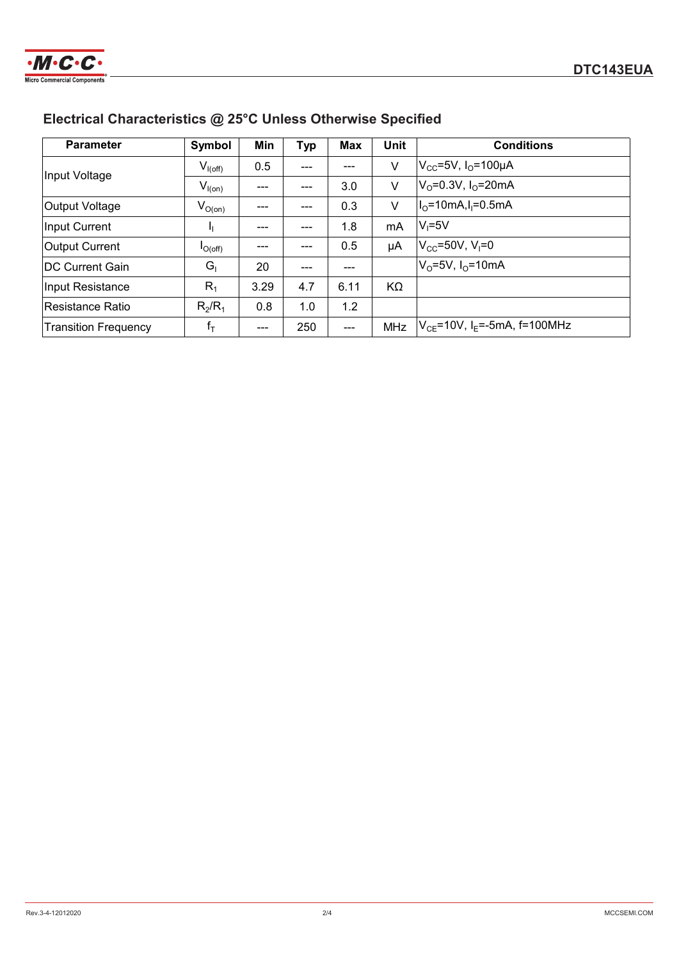

# **Electrical Characteristics @ 25°C Unless Otherwise Specified**

| <b>Parameter</b>            | Symbol       | Min  | <b>Typ</b> | Max   | <b>Unit</b> | <b>Conditions</b>                              |
|-----------------------------|--------------|------|------------|-------|-------------|------------------------------------------------|
| Input Voltage               | $V_{I(off)}$ | 0.5  | ---        |       | V           | $V_{\text{CC}}$ =5V, I <sub>O</sub> =100µA     |
|                             | $V_{I(on)}$  | ---  | $---$      | 3.0   | V           | $V_0 = 0.3V$ , $I_0 = 20mA$                    |
| <b>Output Voltage</b>       | $V_{O(0n)}$  | ---  | ---        | 0.3   | V           | $I_0 = 10mA, I_1 = 0.5mA$                      |
| <b>Input Current</b>        |              | ---  | ---        | 1.8   | mA          | $V_i = 5V$                                     |
| <b>Output Current</b>       | $I_{O(off)}$ | ---  |            | 0.5   | μA          | $V_{\rm CC} = 50V, V_{\rm I} = 0$              |
| <b>IDC Current Gain</b>     | $G_{1}$      | 20   | $---$      | $---$ |             | $V_0 = 5V$ , $I_0 = 10mA$                      |
| Input Resistance            | $R_1$        | 3.29 | 4.7        | 6.11  | KΩ          |                                                |
| Resistance Ratio            | $R_2/R_1$    | 0.8  | 1.0        | 1.2   |             |                                                |
| <b>Transition Frequency</b> | $f_T$        |      | 250        |       | MHz         | $ V_{CF}$ =10V, I <sub>F</sub> =-5mA, f=100MHz |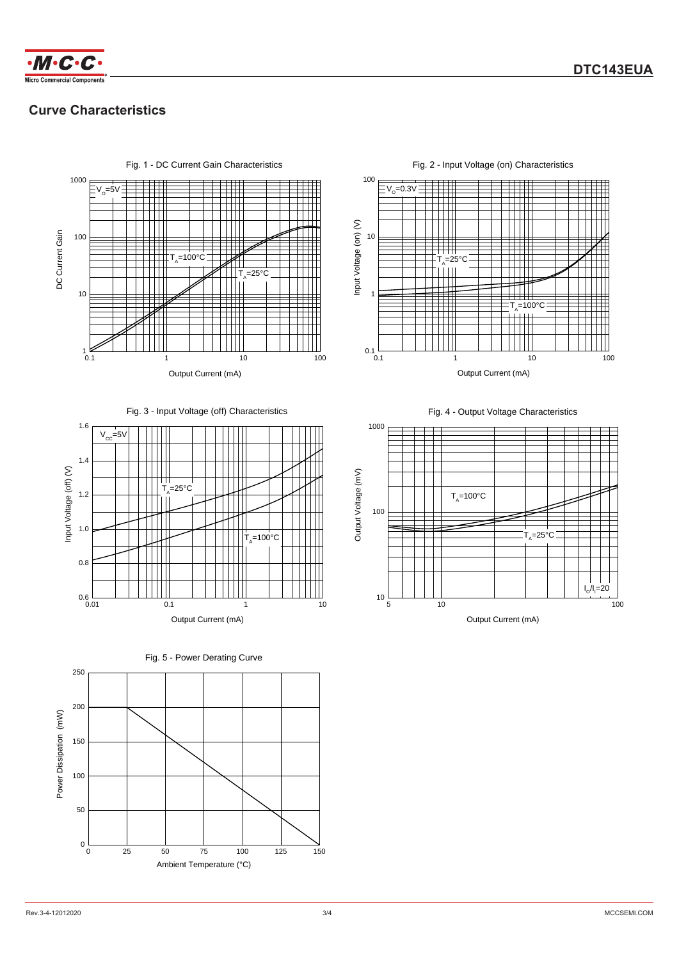

# **Curve Characteristics**



100  $V_0$ =0.3V TTT TT m Input Voltage (on) (V) Input Voltage (on) (V) 10  $T_A=25^{\circ}C$ TIT 1 :T<sub>ѧ</sub>=100°C<br>├┼┼┼┼ ╫  $0.1 \over 0.1$ 10 0.1 1 10 100 Output Current (mA)

Fig. 2 - Input Voltage (on) Characteristics

#### Fig. 3 - Input Voltage (off) Characteristics





250 200 Power Dissipation (mW) Power Dissipation (mW) 150 100 50  $0\frac{1}{0}$ 50 75 100 0 25 50 75 100 125 150 Ambient Temperature (°C)

Fig. 4 - Output Voltage Characteristics